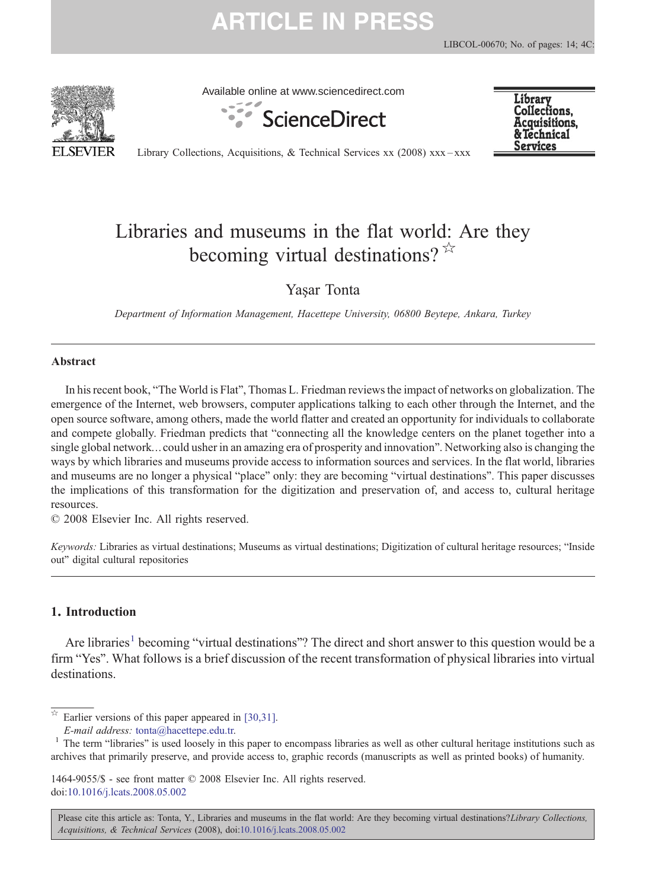

Available online at www.sciencedirect.com



Library Collections. Acquisitions, & Technical **Services** 

Library Collections, Acquisitions, & Technical Services xx (2008) xxx–xxx

### Libraries and museums in the flat world: Are they becoming virtual destinations?  $\mathbb{R}^2$

Yaşar Tonta

Department of Information Management, Hacettepe University, 06800 Beytepe, Ankara, Turkey

#### Abstract

In his recent book, "The World is Flat", Thomas L. Friedman reviews the impact of networks on globalization. The emergence of the Internet, web browsers, computer applications talking to each other through the Internet, and the open source software, among others, made the world flatter and created an opportunity for individuals to collaborate and compete globally. Friedman predicts that "connecting all the knowledge centers on the planet together into a single global network… could usher in an amazing era of prosperity and innovation". Networking also is changing the ways by which libraries and museums provide access to information sources and services. In the flat world, libraries and museums are no longer a physical "place" only: they are becoming "virtual destinations". This paper discusses the implications of this transformation for the digitization and preservation of, and access to, cultural heritage resources.

© 2008 Elsevier Inc. All rights reserved.

Keywords: Libraries as virtual destinations; Museums as virtual destinations; Digitization of cultural heritage resources; "Inside out" digital cultural repositories

#### 1. Introduction

Are libraries<sup>1</sup> becoming "virtual destinations"? The direct and short answer to this question would be a firm "Yes". What follows is a brief discussion of the recent transformation of physical libraries into virtual destinations.

1464-9055/\$ - see front matter © 2008 Elsevier Inc. All rights reserved. doi[:10.1016/j.lcats.2008.05.002](http://dx.doi.org/10.1016/j.lcats.2008.05.002)

Earlier versions of this paper appeared in [\[30,31\]](#page-13-0).

E-mail address: [tonta@hacettepe.edu.tr.](mailto:tonta@hacettepe.edu.tr)  $1$  The term "libraries" is used loosely in this paper to encompass libraries as well as other cultural heritage institutions such as archives that primarily preserve, and provide access to, graphic records (manuscripts as well as printed books) of humanity.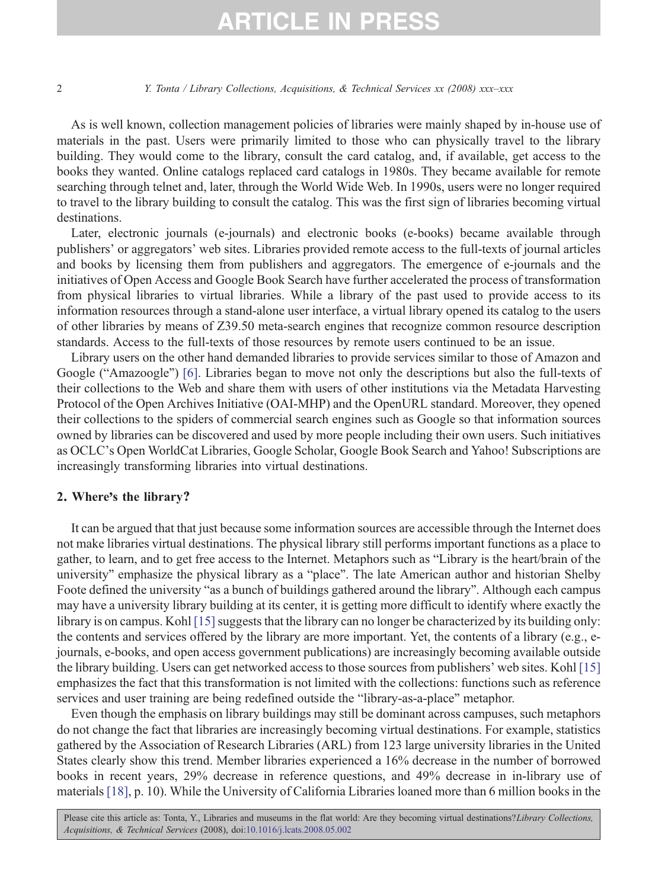#### 2 Y. Tonta / Library Collections, Acquisitions, & Technical Services xx (2008) xxx–xxx

As is well known, collection management policies of libraries were mainly shaped by in-house use of materials in the past. Users were primarily limited to those who can physically travel to the library building. They would come to the library, consult the card catalog, and, if available, get access to the books they wanted. Online catalogs replaced card catalogs in 1980s. They became available for remote searching through telnet and, later, through the World Wide Web. In 1990s, users were no longer required to travel to the library building to consult the catalog. This was the first sign of libraries becoming virtual destinations.

Later, electronic journals (e-journals) and electronic books (e-books) became available through publishers' or aggregators' web sites. Libraries provided remote access to the full-texts of journal articles and books by licensing them from publishers and aggregators. The emergence of e-journals and the initiatives of Open Access and Google Book Search have further accelerated the process of transformation from physical libraries to virtual libraries. While a library of the past used to provide access to its information resources through a stand-alone user interface, a virtual library opened its catalog to the users of other libraries by means of Z39.50 meta-search engines that recognize common resource description standards. Access to the full-texts of those resources by remote users continued to be an issue.

Library users on the other hand demanded libraries to provide services similar to those of Amazon and Google ("Amazoogle") [\[6\]](#page-12-0). Libraries began to move not only the descriptions but also the full-texts of their collections to the Web and share them with users of other institutions via the Metadata Harvesting Protocol of the Open Archives Initiative (OAI-MHP) and the OpenURL standard. Moreover, they opened their collections to the spiders of commercial search engines such as Google so that information sources owned by libraries can be discovered and used by more people including their own users. Such initiatives as OCLC's Open WorldCat Libraries, Google Scholar, Google Book Search and Yahoo! Subscriptions are increasingly transforming libraries into virtual destinations.

#### 2. Where's the library?

It can be argued that that just because some information sources are accessible through the Internet does not make libraries virtual destinations. The physical library still performs important functions as a place to gather, to learn, and to get free access to the Internet. Metaphors such as "Library is the heart/brain of the university" emphasize the physical library as a "place". The late American author and historian Shelby Foote defined the university "as a bunch of buildings gathered around the library". Although each campus may have a university library building at its center, it is getting more difficult to identify where exactly the library is on campus. Kohl  $[15]$  suggests that the library can no longer be characterized by its building only: the contents and services offered by the library are more important. Yet, the contents of a library (e.g., ejournals, e-books, and open access government publications) are increasingly becoming available outside the library building. Users can get networked access to those sources from publishers' web sites. Kohl [\[15\]](#page-12-0) emphasizes the fact that this transformation is not limited with the collections: functions such as reference services and user training are being redefined outside the "library-as-a-place" metaphor.

Even though the emphasis on library buildings may still be dominant across campuses, such metaphors do not change the fact that libraries are increasingly becoming virtual destinations. For example, statistics gathered by the Association of Research Libraries (ARL) from 123 large university libraries in the United States clearly show this trend. Member libraries experienced a 16% decrease in the number of borrowed books in recent years, 29% decrease in reference questions, and 49% decrease in in-library use of materials [\[18\]](#page-12-0), p. 10). While the University of California Libraries loaned more than 6 million books in the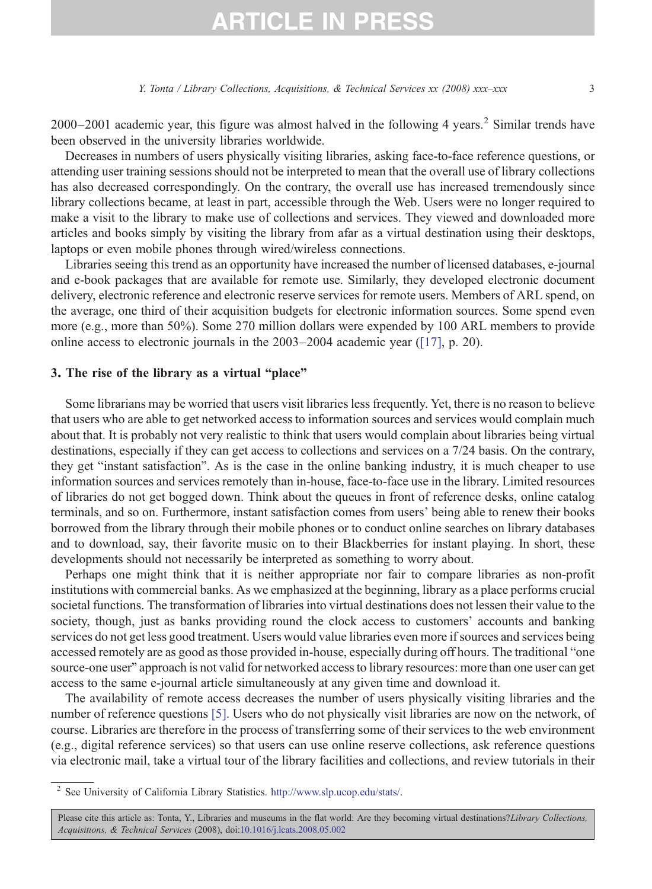$2000-2001$  academic year, this figure was almost halved in the following 4 years.<sup>2</sup> Similar trends have been observed in the university libraries worldwide.

Decreases in numbers of users physically visiting libraries, asking face-to-face reference questions, or attending user training sessions should not be interpreted to mean that the overall use of library collections has also decreased correspondingly. On the contrary, the overall use has increased tremendously since library collections became, at least in part, accessible through the Web. Users were no longer required to make a visit to the library to make use of collections and services. They viewed and downloaded more articles and books simply by visiting the library from afar as a virtual destination using their desktops, laptops or even mobile phones through wired/wireless connections.

Libraries seeing this trend as an opportunity have increased the number of licensed databases, e-journal and e-book packages that are available for remote use. Similarly, they developed electronic document delivery, electronic reference and electronic reserve services for remote users. Members of ARL spend, on the average, one third of their acquisition budgets for electronic information sources. Some spend even more (e.g., more than 50%). Some 270 million dollars were expended by 100 ARL members to provide online access to electronic journals in the 2003–2004 academic year ([\[17\],](#page-12-0) p. 20).

#### 3. The rise of the library as a virtual "place"

Some librarians may be worried that users visit libraries less frequently. Yet, there is no reason to believe that users who are able to get networked access to information sources and services would complain much about that. It is probably not very realistic to think that users would complain about libraries being virtual destinations, especially if they can get access to collections and services on a 7/24 basis. On the contrary, they get "instant satisfaction". As is the case in the online banking industry, it is much cheaper to use information sources and services remotely than in-house, face-to-face use in the library. Limited resources of libraries do not get bogged down. Think about the queues in front of reference desks, online catalog terminals, and so on. Furthermore, instant satisfaction comes from users' being able to renew their books borrowed from the library through their mobile phones or to conduct online searches on library databases and to download, say, their favorite music on to their Blackberries for instant playing. In short, these developments should not necessarily be interpreted as something to worry about.

Perhaps one might think that it is neither appropriate nor fair to compare libraries as non-profit institutions with commercial banks. As we emphasized at the beginning, library as a place performs crucial societal functions. The transformation of libraries into virtual destinations does not lessen their value to the society, though, just as banks providing round the clock access to customers' accounts and banking services do not get less good treatment. Users would value libraries even more if sources and services being accessed remotely are as good as those provided in-house, especially during off hours. The traditional "one source-one user" approach is not valid for networked access to library resources: more than one user can get access to the same e-journal article simultaneously at any given time and download it.

The availability of remote access decreases the number of users physically visiting libraries and the number of reference questions [\[5\]](#page-12-0). Users who do not physically visit libraries are now on the network, of course. Libraries are therefore in the process of transferring some of their services to the web environment (e.g., digital reference services) so that users can use online reserve collections, ask reference questions via electronic mail, take a virtual tour of the library facilities and collections, and review tutorials in their

<sup>2</sup> See University of California Library Statistics. <http://www.slp.ucop.edu/stats/>.

Please cite this article as: Tonta, Y., Libraries and museums in the flat world: Are they becoming virtual destinations?*Library Collections*, Acquisitions, & Technical Services (2008), doi:[10.1016/j.lcats.2008.05.002](http://dx.doi.org/10.1016/j.lcats.2008.05.002)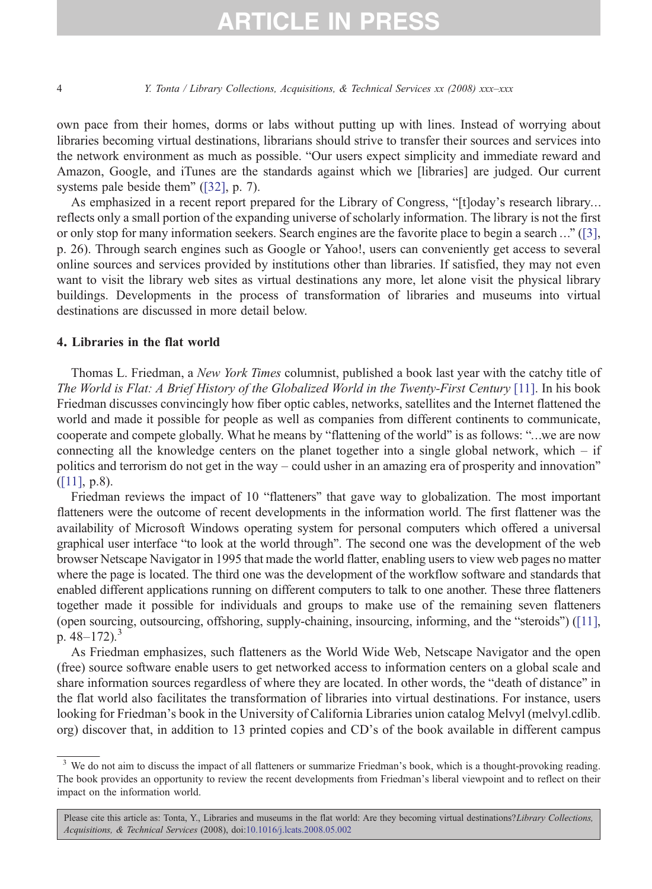own pace from their homes, dorms or labs without putting up with lines. Instead of worrying about libraries becoming virtual destinations, librarians should strive to transfer their sources and services into the network environment as much as possible. "Our users expect simplicity and immediate reward and Amazon, Google, and iTunes are the standards against which we [libraries] are judged. Our current systems pale beside them" [\(\[32\]](#page-13-0), p. 7).

As emphasized in a recent report prepared for the Library of Congress, "[t]oday's research library… reflects only a small portion of the expanding universe of scholarly information. The library is not the first or only stop for many information seekers. Search engines are the favorite place to begin a search …" [\(\[3\]](#page-12-0), p. 26). Through search engines such as Google or Yahoo!, users can conveniently get access to several online sources and services provided by institutions other than libraries. If satisfied, they may not even want to visit the library web sites as virtual destinations any more, let alone visit the physical library buildings. Developments in the process of transformation of libraries and museums into virtual destinations are discussed in more detail below.

#### 4. Libraries in the flat world

Thomas L. Friedman, a New York Times columnist, published a book last year with the catchy title of The World is Flat: A Brief History of the Globalized World in the Twenty-First Century [\[11\].](#page-12-0) In his book Friedman discusses convincingly how fiber optic cables, networks, satellites and the Internet flattened the world and made it possible for people as well as companies from different continents to communicate, cooperate and compete globally. What he means by "flattening of the world" is as follows: "…we are now connecting all the knowledge centers on the planet together into a single global network, which  $-$  if politics and terrorism do not get in the way – could usher in an amazing era of prosperity and innovation"  $([11], p.8).$  $([11], p.8).$  $([11], p.8).$ 

Friedman reviews the impact of 10 "flatteners" that gave way to globalization. The most important flatteners were the outcome of recent developments in the information world. The first flattener was the availability of Microsoft Windows operating system for personal computers which offered a universal graphical user interface "to look at the world through". The second one was the development of the web browser Netscape Navigator in 1995 that made the world flatter, enabling users to view web pages no matter where the page is located. The third one was the development of the workflow software and standards that enabled different applications running on different computers to talk to one another. These three flatteners together made it possible for individuals and groups to make use of the remaining seven flatteners (open sourcing, outsourcing, offshoring, supply-chaining, insourcing, informing, and the "steroids") ([\[11\]](#page-12-0), p.  $48-172$ ).<sup>3</sup>

As Friedman emphasizes, such flatteners as the World Wide Web, Netscape Navigator and the open (free) source software enable users to get networked access to information centers on a global scale and share information sources regardless of where they are located. In other words, the "death of distance" in the flat world also facilitates the transformation of libraries into virtual destinations. For instance, users looking for Friedman's book in the University of California Libraries union catalog Melvyl (melvyl.cdlib. org) discover that, in addition to 13 printed copies and CD's of the book available in different campus

<sup>&</sup>lt;sup>3</sup> We do not aim to discuss the impact of all flatteners or summarize Friedman's book, which is a thought-provoking reading. The book provides an opportunity to review the recent developments from Friedman's liberal viewpoint and to reflect on their impact on the information world.

Please cite this article as: Tonta, Y., Libraries and museums in the flat world: Are they becoming virtual destinations?*Library Collections*, Acquisitions, & Technical Services (2008), doi:[10.1016/j.lcats.2008.05.002](http://dx.doi.org/10.1016/j.lcats.2008.05.002)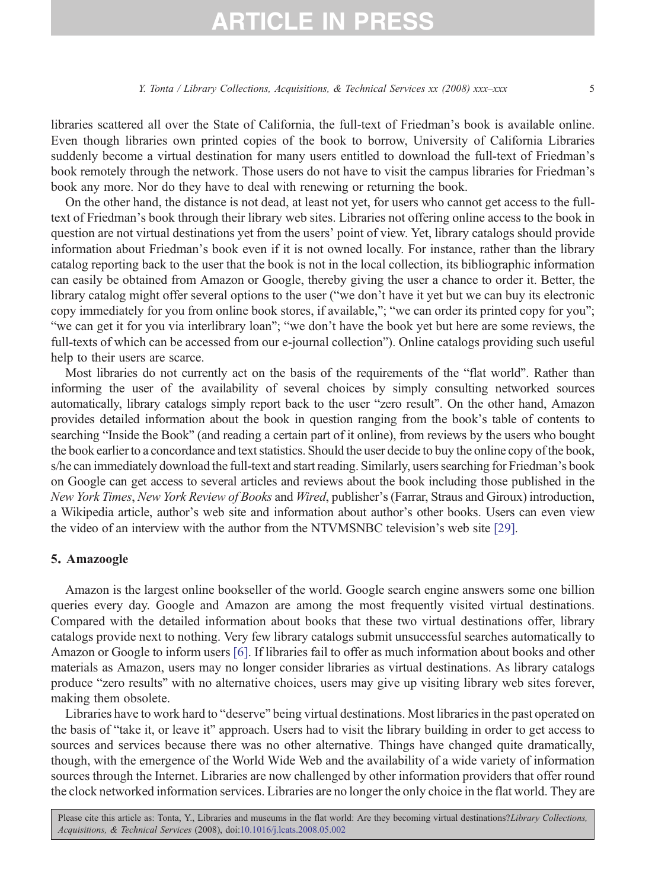libraries scattered all over the State of California, the full-text of Friedman's book is available online. Even though libraries own printed copies of the book to borrow, University of California Libraries suddenly become a virtual destination for many users entitled to download the full-text of Friedman's book remotely through the network. Those users do not have to visit the campus libraries for Friedman's book any more. Nor do they have to deal with renewing or returning the book.

On the other hand, the distance is not dead, at least not yet, for users who cannot get access to the fulltext of Friedman's book through their library web sites. Libraries not offering online access to the book in question are not virtual destinations yet from the users' point of view. Yet, library catalogs should provide information about Friedman's book even if it is not owned locally. For instance, rather than the library catalog reporting back to the user that the book is not in the local collection, its bibliographic information can easily be obtained from Amazon or Google, thereby giving the user a chance to order it. Better, the library catalog might offer several options to the user ("we don't have it yet but we can buy its electronic copy immediately for you from online book stores, if available,"; "we can order its printed copy for you"; "we can get it for you via interlibrary loan"; "we don't have the book yet but here are some reviews, the full-texts of which can be accessed from our e-journal collection"). Online catalogs providing such useful help to their users are scarce.

Most libraries do not currently act on the basis of the requirements of the "flat world". Rather than informing the user of the availability of several choices by simply consulting networked sources automatically, library catalogs simply report back to the user "zero result". On the other hand, Amazon provides detailed information about the book in question ranging from the book's table of contents to searching "Inside the Book" (and reading a certain part of it online), from reviews by the users who bought the book earlier to a concordance and text statistics. Should the user decide to buy the online copy of the book, s/he can immediately download the full-text and start reading. Similarly, users searching for Friedman's book on Google can get access to several articles and reviews about the book including those published in the New York Times, New York Review of Books and Wired, publisher's (Farrar, Straus and Giroux) introduction, a Wikipedia article, author's web site and information about author's other books. Users can even view the video of an interview with the author from the NTVMSNBC television's web site [\[29\]](#page-13-0).

#### 5. Amazoogle

Amazon is the largest online bookseller of the world. Google search engine answers some one billion queries every day. Google and Amazon are among the most frequently visited virtual destinations. Compared with the detailed information about books that these two virtual destinations offer, library catalogs provide next to nothing. Very few library catalogs submit unsuccessful searches automatically to Amazon or Google to inform users [\[6\]](#page-12-0). If libraries fail to offer as much information about books and other materials as Amazon, users may no longer consider libraries as virtual destinations. As library catalogs produce "zero results" with no alternative choices, users may give up visiting library web sites forever, making them obsolete.

Libraries have to work hard to "deserve" being virtual destinations. Most libraries in the past operated on the basis of "take it, or leave it" approach. Users had to visit the library building in order to get access to sources and services because there was no other alternative. Things have changed quite dramatically, though, with the emergence of the World Wide Web and the availability of a wide variety of information sources through the Internet. Libraries are now challenged by other information providers that offer round the clock networked information services. Libraries are no longer the only choice in the flat world. They are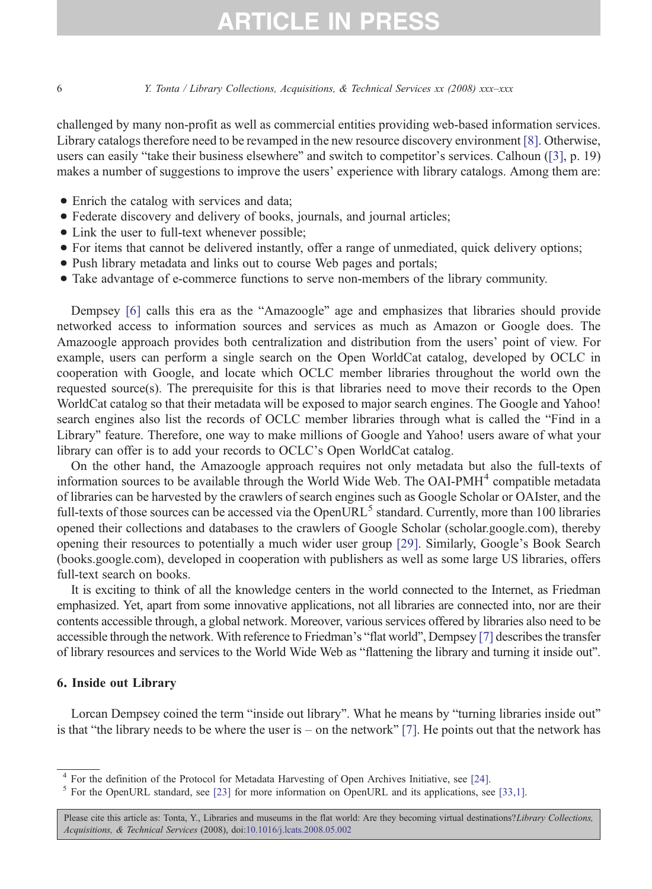#### 6 Y. Tonta / Library Collections, Acquisitions, & Technical Services xx (2008) xxx–xxx

challenged by many non-profit as well as commercial entities providing web-based information services. Library catalogs therefore need to be revamped in the new resource discovery environment [\[8\].](#page-12-0) Otherwise, users can easily "take their business elsewhere" and switch to competitor's services. Calhoun [\(\[3\],](#page-12-0) p. 19) makes a number of suggestions to improve the users' experience with library catalogs. Among them are:

- Enrich the catalog with services and data;
- Federate discovery and delivery of books, journals, and journal articles;
- Link the user to full-text whenever possible;
- For items that cannot be delivered instantly, offer a range of unmediated, quick delivery options;
- Push library metadata and links out to course Web pages and portals;
- Take advantage of e-commerce functions to serve non-members of the library community.

Dempsey [\[6\]](#page-12-0) calls this era as the "Amazoogle" age and emphasizes that libraries should provide networked access to information sources and services as much as Amazon or Google does. The Amazoogle approach provides both centralization and distribution from the users' point of view. For example, users can perform a single search on the Open WorldCat catalog, developed by OCLC in cooperation with Google, and locate which OCLC member libraries throughout the world own the requested source(s). The prerequisite for this is that libraries need to move their records to the Open WorldCat catalog so that their metadata will be exposed to major search engines. The Google and Yahoo! search engines also list the records of OCLC member libraries through what is called the "Find in a Library" feature. Therefore, one way to make millions of Google and Yahoo! users aware of what your library can offer is to add your records to OCLC's Open WorldCat catalog.

On the other hand, the Amazoogle approach requires not only metadata but also the full-texts of information sources to be available through the World Wide Web. The OAI-PMH<sup>4</sup> compatible metadata of libraries can be harvested by the crawlers of search engines such as Google Scholar or OAIster, and the full-texts of those sources can be accessed via the OpenURL<sup>5</sup> standard. Currently, more than 100 libraries opened their collections and databases to the crawlers of Google Scholar (scholar.google.com), thereby opening their resources to potentially a much wider user group [\[29\]](#page-13-0). Similarly, Google's Book Search (books.google.com), developed in cooperation with publishers as well as some large US libraries, offers full-text search on books.

It is exciting to think of all the knowledge centers in the world connected to the Internet, as Friedman emphasized. Yet, apart from some innovative applications, not all libraries are connected into, nor are their contents accessible through, a global network. Moreover, various services offered by libraries also need to be accessible through the network. With reference to Friedman's "flat world", Dempsey [\[7\]](#page-12-0) describes the transfer of library resources and services to the World Wide Web as "flattening the library and turning it inside out".

### 6. Inside out Library

Lorcan Dempsey coined the term "inside out library". What he means by "turning libraries inside out" is that "the library needs to be where the user is – on the network" [\[7\]](#page-12-0). He points out that the network has

<sup>&</sup>lt;sup>4</sup> For the definition of the Protocol for Metadata Harvesting of Open Archives Initiative, see [\[24\]](#page-13-0).<br><sup>5</sup> For the OpenURL standard, see [\[23\]](#page-13-0) for more information on OpenURL and its applications, see [\[33,1\]](#page-13-0).

Please cite this article as: Tonta, Y., Libraries and museums in the flat world: Are they becoming virtual destinations?*Library Collections*, Acquisitions, & Technical Services (2008), doi:[10.1016/j.lcats.2008.05.002](http://dx.doi.org/10.1016/j.lcats.2008.05.002)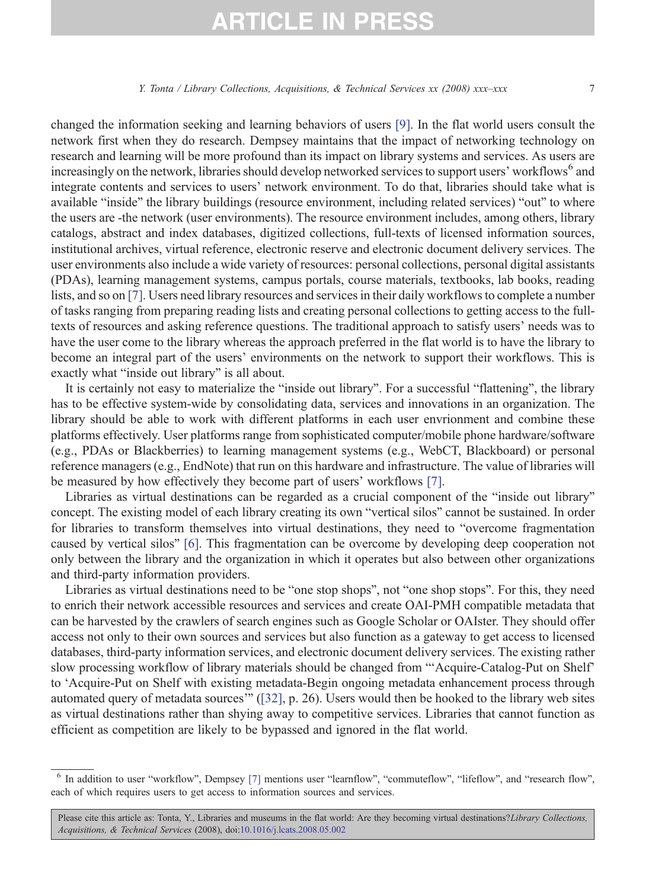Y. Tonta / Library Collections, Acquisitions, & Technical Services xx (2008) xxx–xxx 7

changed the information seeking and learning behaviors of users [\[9\].](#page-12-0) In the flat world users consult the network first when they do research. Dempsey maintains that the impact of networking technology on research and learning will be more profound than its impact on library systems and services. As users are increasingly on the network, libraries should develop networked services to support users' workflows<sup>6</sup> and integrate contents and services to users' network environment. To do that, libraries should take what is available "inside" the library buildings (resource environment, including related services) "out" to where the users are -the network (user environments). The resource environment includes, among others, library catalogs, abstract and index databases, digitized collections, full-texts of licensed information sources, institutional archives, virtual reference, electronic reserve and electronic document delivery services. The

user environments also include a wide variety of resources: personal collections, personal digital assistants (PDAs), learning management systems, campus portals, course materials, textbooks, lab books, reading lists, and so on [\[7\]](#page-12-0). Users need library resources and services in their daily workflows to complete a number of tasks ranging from preparing reading lists and creating personal collections to getting access to the fulltexts of resources and asking reference questions. The traditional approach to satisfy users' needs was to have the user come to the library whereas the approach preferred in the flat world is to have the library to become an integral part of the users' environments on the network to support their workflows. This is exactly what "inside out library" is all about.

It is certainly not easy to materialize the "inside out library". For a successful "flattening", the library has to be effective system-wide by consolidating data, services and innovations in an organization. The library should be able to work with different platforms in each user envrionment and combine these platforms effectively. User platforms range from sophisticated computer/mobile phone hardware/software (e.g., PDAs or Blackberries) to learning management systems (e.g., WebCT, Blackboard) or personal reference managers (e.g., EndNote) that run on this hardware and infrastructure. The value of libraries will be measured by how effectively they become part of users' workflows [\[7\]](#page-12-0).

Libraries as virtual destinations can be regarded as a crucial component of the "inside out library" concept. The existing model of each library creating its own "vertical silos" cannot be sustained. In order for libraries to transform themselves into virtual destinations, they need to "overcome fragmentation caused by vertical silos" [\[6\]](#page-12-0). This fragmentation can be overcome by developing deep cooperation not only between the library and the organization in which it operates but also between other organizations and third-party information providers.

Libraries as virtual destinations need to be "one stop shops", not "one shop stops". For this, they need to enrich their network accessible resources and services and create OAI-PMH compatible metadata that can be harvested by the crawlers of search engines such as Google Scholar or OAIster. They should offer access not only to their own sources and services but also function as a gateway to get access to licensed databases, third-party information services, and electronic document delivery services. The existing rather slow processing workflow of library materials should be changed from "'Acquire-Catalog-Put on Shelf' to 'Acquire-Put on Shelf with existing metadata-Begin ongoing metadata enhancement process through automated query of metadata sources'" ([\[32\],](#page-13-0) p. 26). Users would then be hooked to the library web sites as virtual destinations rather than shying away to competitive services. Libraries that cannot function as efficient as competition are likely to be bypassed and ignored in the flat world.

<sup>&</sup>lt;sup>6</sup> In addition to user "workflow", Dempsey [\[7\]](#page-12-0) mentions user "learnflow", "commuteflow", "lifeflow", and "research flow", each of which requires users to get access to information sources and services.

Please cite this article as: Tonta, Y., Libraries and museums in the flat world: Are they becoming virtual destinations?*Library Collections*, Acquisitions, & Technical Services (2008), doi:[10.1016/j.lcats.2008.05.002](http://dx.doi.org/10.1016/j.lcats.2008.05.002)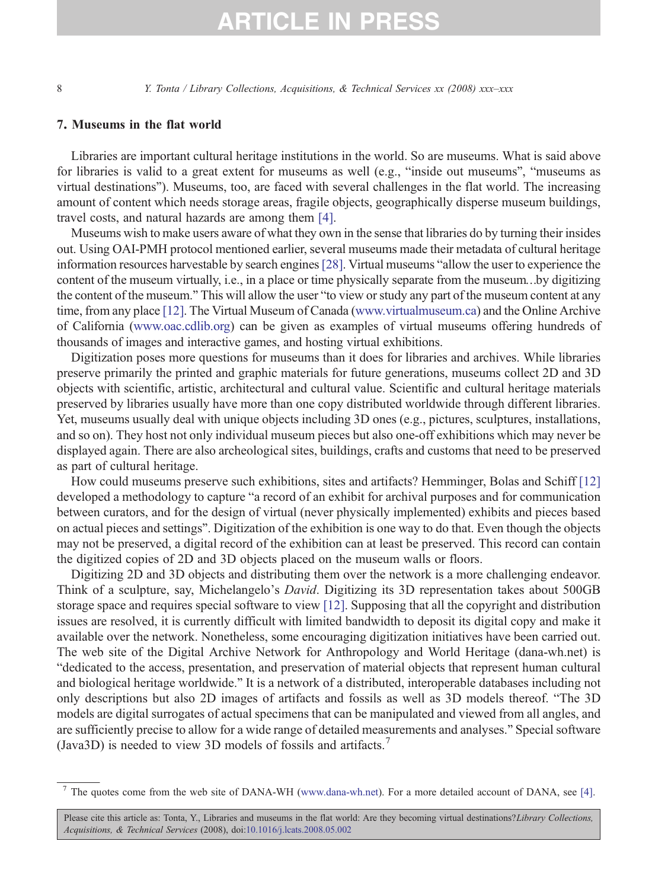8 Y. Tonta / Library Collections, Acquisitions, & Technical Services xx (2008) xxx–xxx

#### 7. Museums in the flat world

Libraries are important cultural heritage institutions in the world. So are museums. What is said above for libraries is valid to a great extent for museums as well (e.g., "inside out museums", "museums as virtual destinations"). Museums, too, are faced with several challenges in the flat world. The increasing amount of content which needs storage areas, fragile objects, geographically disperse museum buildings, travel costs, and natural hazards are among them [\[4\]](#page-12-0).

Museums wish to make users aware of what they own in the sense that libraries do by turning their insides out. Using OAI-PMH protocol mentioned earlier, several museums made their metadata of cultural heritage information resources harvestable by search engines[\[28\]](#page-13-0). Virtual museums "allow the user to experience the content of the museum virtually, i.e., in a place or time physically separate from the museum…by digitizing the content of the museum." This will allow the user "to view or study any part of the museum content at any time, from any place [\[12\].](#page-12-0) The Virtual Museum of Canada ([www.virtualmuseum.ca\)](http://www.virtualmuseum.ca) and the Online Archive of California ([www.oac.cdlib.org](http://www.oac.cdlib.org)) can be given as examples of virtual museums offering hundreds of thousands of images and interactive games, and hosting virtual exhibitions.

Digitization poses more questions for museums than it does for libraries and archives. While libraries preserve primarily the printed and graphic materials for future generations, museums collect 2D and 3D objects with scientific, artistic, architectural and cultural value. Scientific and cultural heritage materials preserved by libraries usually have more than one copy distributed worldwide through different libraries. Yet, museums usually deal with unique objects including 3D ones (e.g., pictures, sculptures, installations, and so on). They host not only individual museum pieces but also one-off exhibitions which may never be displayed again. There are also archeological sites, buildings, crafts and customs that need to be preserved as part of cultural heritage.

How could museums preserve such exhibitions, sites and artifacts? Hemminger, Bolas and Schiff [\[12\]](#page-12-0) developed a methodology to capture "a record of an exhibit for archival purposes and for communication between curators, and for the design of virtual (never physically implemented) exhibits and pieces based on actual pieces and settings". Digitization of the exhibition is one way to do that. Even though the objects may not be preserved, a digital record of the exhibition can at least be preserved. This record can contain the digitized copies of 2D and 3D objects placed on the museum walls or floors.

Digitizing 2D and 3D objects and distributing them over the network is a more challenging endeavor. Think of a sculpture, say, Michelangelo's David. Digitizing its 3D representation takes about 500GB storage space and requires special software to view [\[12\].](#page-12-0) Supposing that all the copyright and distribution issues are resolved, it is currently difficult with limited bandwidth to deposit its digital copy and make it available over the network. Nonetheless, some encouraging digitization initiatives have been carried out. The web site of the Digital Archive Network for Anthropology and World Heritage (dana-wh.net) is "dedicated to the access, presentation, and preservation of material objects that represent human cultural and biological heritage worldwide." It is a network of a distributed, interoperable databases including not only descriptions but also 2D images of artifacts and fossils as well as 3D models thereof. "The 3D models are digital surrogates of actual specimens that can be manipulated and viewed from all angles, and are sufficiently precise to allow for a wide range of detailed measurements and analyses." Special software (Java3D) is needed to view 3D models of fossils and artifacts.<sup>7</sup>

The quotes come from the web site of DANA-WH [\(www.dana-wh.net](http://www.dana-wh.net)). For a more detailed account of DANA, see [\[4\]](#page-12-0).

Please cite this article as: Tonta, Y., Libraries and museums in the flat world: Are they becoming virtual destinations?*Library Collections*, Acquisitions, & Technical Services (2008), doi:[10.1016/j.lcats.2008.05.002](http://dx.doi.org/10.1016/j.lcats.2008.05.002)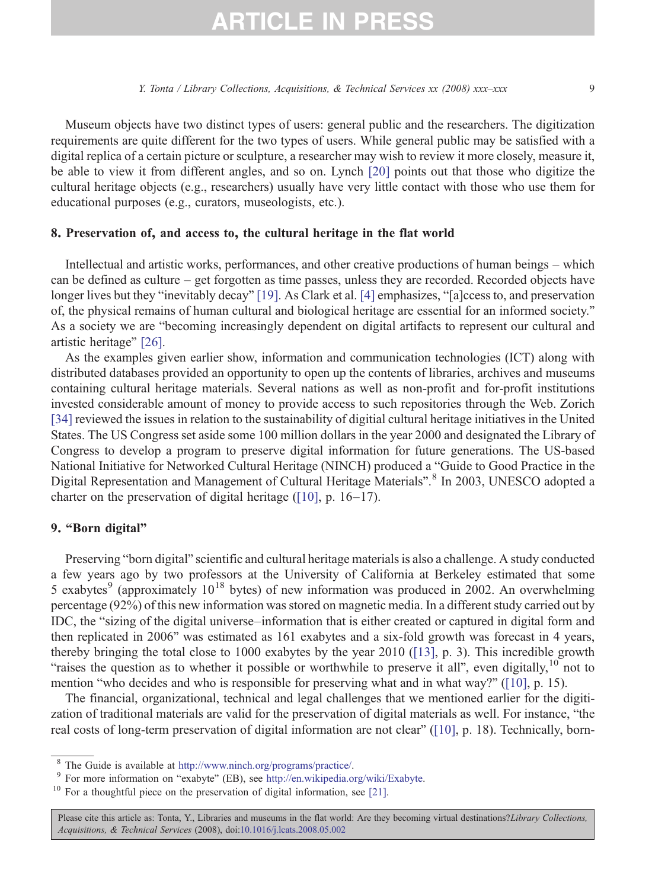Museum objects have two distinct types of users: general public and the researchers. The digitization requirements are quite different for the two types of users. While general public may be satisfied with a digital replica of a certain picture or sculpture, a researcher may wish to review it more closely, measure it, be able to view it from different angles, and so on. Lynch [\[20\]](#page-13-0) points out that those who digitize the cultural heritage objects (e.g., researchers) usually have very little contact with those who use them for educational purposes (e.g., curators, museologists, etc.).

#### 8. Preservation of, and access to, the cultural heritage in the flat world

Intellectual and artistic works, performances, and other creative productions of human beings – which can be defined as culture – get forgotten as time passes, unless they are recorded. Recorded objects have longer lives but they "inevitably decay" [\[19\]](#page-12-0). As Clark et al. [\[4\]](#page-12-0) emphasizes, "[a]ccess to, and preservation of, the physical remains of human cultural and biological heritage are essential for an informed society." As a society we are "becoming increasingly dependent on digital artifacts to represent our cultural and artistic heritage" [\[26\]](#page-13-0).

As the examples given earlier show, information and communication technologies (ICT) along with distributed databases provided an opportunity to open up the contents of libraries, archives and museums containing cultural heritage materials. Several nations as well as non-profit and for-profit institutions invested considerable amount of money to provide access to such repositories through the Web. Zorich [\[34\]](#page-13-0) reviewed the issues in relation to the sustainability of digitial cultural heritage initiatives in the United States. The US Congress set aside some 100 million dollars in the year 2000 and designated the Library of Congress to develop a program to preserve digital information for future generations. The US-based National Initiative for Networked Cultural Heritage (NINCH) produced a "Guide to Good Practice in the Digital Representation and Management of Cultural Heritage Materials". <sup>8</sup> In 2003, UNESCO adopted a charter on the preservation of digital heritage  $(10)$ , p. 16–17).

#### 9. "Born digital"

Preserving "born digital" scientific and cultural heritage materials is also a challenge. A study conducted a few years ago by two professors at the University of California at Berkeley estimated that some 5 exabytes<sup>9</sup> (approximately  $10^{18}$  bytes) of new information was produced in 2002. An overwhelming percentage (92%) of this new information was stored on magnetic media. In a different study carried out by IDC, the "sizing of the digital universe–information that is either created or captured in digital form and then replicated in 2006" was estimated as 161 exabytes and a six-fold growth was forecast in 4 years, thereby bringing the total close to 1000 exabytes by the year 2010 [\(\[13\]](#page-12-0), p. 3). This incredible growth "raises the question as to whether it possible or worthwhile to preserve it all", even digitally,<sup>10</sup> not to mention "who decides and who is responsible for preserving what and in what way?" [\(\[10\]](#page-12-0), p. 15).

The financial, organizational, technical and legal challenges that we mentioned earlier for the digitization of traditional materials are valid for the preservation of digital materials as well. For instance, "the real costs of long-term preservation of digital information are not clear" [\(\[10\],](#page-12-0) p. 18). Technically, born-

<sup>&</sup>lt;sup>8</sup> The Guide is available at [http://www.ninch.org/programs/practice/.](http://www.ninch.org/programs/practice/)<br><sup>9</sup> For more information on "exabyte" (EB), see <http://en.wikipedia.org/wiki/Exabyte>.<br><sup>10</sup> For a thoughtful piece on the preservation of digital infor

Please cite this article as: Tonta, Y., Libraries and museums in the flat world: Are they becoming virtual destinations?*Library Collections*, Acquisitions, & Technical Services (2008), doi:[10.1016/j.lcats.2008.05.002](http://dx.doi.org/10.1016/j.lcats.2008.05.002)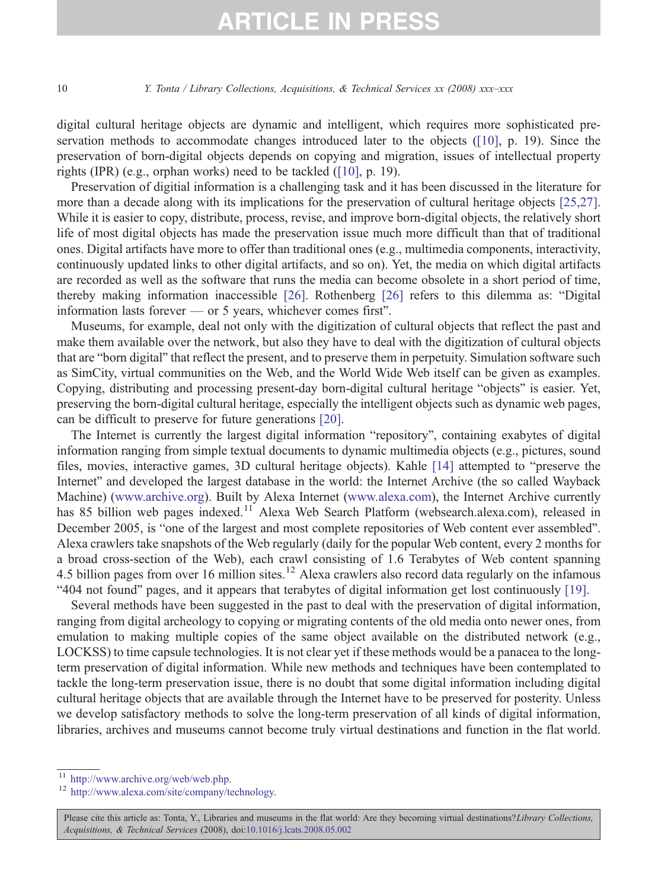digital cultural heritage objects are dynamic and intelligent, which requires more sophisticated preservation methods to accommodate changes introduced later to the objects [\(\[10\]](#page-12-0), p. 19). Since the preservation of born-digital objects depends on copying and migration, issues of intellectual property rights (IPR) (e.g., orphan works) need to be tackled ([\[10\],](#page-12-0) p. 19).

Preservation of digitial information is a challenging task and it has been discussed in the literature for more than a decade along with its implications for the preservation of cultural heritage objects [\[25,27\]](#page-13-0). While it is easier to copy, distribute, process, revise, and improve born-digital objects, the relatively short life of most digital objects has made the preservation issue much more difficult than that of traditional ones. Digital artifacts have more to offer than traditional ones (e.g., multimedia components, interactivity, continuously updated links to other digital artifacts, and so on). Yet, the media on which digital artifacts are recorded as well as the software that runs the media can become obsolete in a short period of time, thereby making information inaccessible [\[26\]](#page-13-0). Rothenberg [\[26\]](#page-13-0) refers to this dilemma as: "Digital information lasts forever — or 5 years, whichever comes first".

Museums, for example, deal not only with the digitization of cultural objects that reflect the past and make them available over the network, but also they have to deal with the digitization of cultural objects that are "born digital" that reflect the present, and to preserve them in perpetuity. Simulation software such as SimCity, virtual communities on the Web, and the World Wide Web itself can be given as examples. Copying, distributing and processing present-day born-digital cultural heritage "objects" is easier. Yet, preserving the born-digital cultural heritage, especially the intelligent objects such as dynamic web pages, can be difficult to preserve for future generations [\[20\].](#page-13-0)

The Internet is currently the largest digital information "repository", containing exabytes of digital information ranging from simple textual documents to dynamic multimedia objects (e.g., pictures, sound files, movies, interactive games, 3D cultural heritage objects). Kahle [\[14\]](#page-12-0) attempted to "preserve the Internet" and developed the largest database in the world: the Internet Archive (the so called Wayback Machine) [\(www.archive.org\)](http://www.archive.org). Built by Alexa Internet [\(www.alexa.com](http://www.alexa.com)), the Internet Archive currently has 85 billion web pages indexed.<sup>11</sup> Alexa Web Search Platform (websearch.alexa.com), released in December 2005, is "one of the largest and most complete repositories of Web content ever assembled". Alexa crawlers take snapshots of the Web regularly (daily for the popular Web content, every 2 months for a broad cross-section of the Web), each crawl consisting of 1.6 Terabytes of Web content spanning 4.5 billion pages from over 16 million sites.<sup>12</sup> Alexa crawlers also record data regularly on the infamous "404 not found" pages, and it appears that terabytes of digital information get lost continuously [\[19\].](#page-12-0)

Several methods have been suggested in the past to deal with the preservation of digital information, ranging from digital archeology to copying or migrating contents of the old media onto newer ones, from emulation to making multiple copies of the same object available on the distributed network (e.g., LOCKSS) to time capsule technologies. It is not clear yet if these methods would be a panacea to the longterm preservation of digital information. While new methods and techniques have been contemplated to tackle the long-term preservation issue, there is no doubt that some digital information including digital cultural heritage objects that are available through the Internet have to be preserved for posterity. Unless we develop satisfactory methods to solve the long-term preservation of all kinds of digital information, libraries, archives and museums cannot become truly virtual destinations and function in the flat world.

<sup>&</sup>lt;sup>11</sup> <http://www.archive.org/web/web.php>.<br><sup>12</sup> [http://www.alexa.com/site/company/technology.](http://www.alexa.com/site/company/technology)

Please cite this article as: Tonta, Y., Libraries and museums in the flat world: Are they becoming virtual destinations?*Library Collections*, Acquisitions, & Technical Services (2008), doi:[10.1016/j.lcats.2008.05.002](http://dx.doi.org/10.1016/j.lcats.2008.05.002)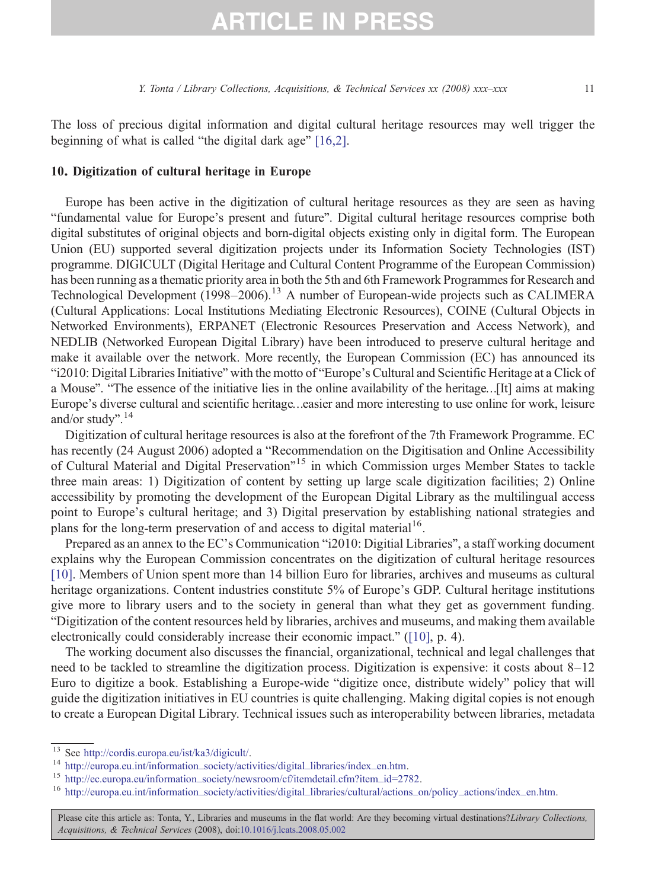The loss of precious digital information and digital cultural heritage resources may well trigger the beginning of what is called "the digital dark age" [\[16,2\]](#page-12-0).

### 10. Digitization of cultural heritage in Europe

Europe has been active in the digitization of cultural heritage resources as they are seen as having "fundamental value for Europe's present and future". Digital cultural heritage resources comprise both digital substitutes of original objects and born-digital objects existing only in digital form. The European Union (EU) supported several digitization projects under its Information Society Technologies (IST) programme. DIGICULT (Digital Heritage and Cultural Content Programme of the European Commission) has been running as a thematic priority area in both the 5th and 6th Framework Programmes for Research and Technological Development (1998–2006).<sup>13</sup> A number of European-wide projects such as CALIMERA (Cultural Applications: Local Institutions Mediating Electronic Resources), COINE (Cultural Objects in Networked Environments), ERPANET (Electronic Resources Preservation and Access Network), and NEDLIB (Networked European Digital Library) have been introduced to preserve cultural heritage and make it available over the network. More recently, the European Commission (EC) has announced its "i2010: Digital Libraries Initiative" with the motto of "Europe's Cultural and Scientific Heritage at a Click of a Mouse". "The essence of the initiative lies in the online availability of the heritage…[It] aims at making Europe's diverse cultural and scientific heritage…easier and more interesting to use online for work, leisure and/or study". 14

Digitization of cultural heritage resources is also at the forefront of the 7th Framework Programme. EC has recently (24 August 2006) adopted a "Recommendation on the Digitisation and Online Accessibility of Cultural Material and Digital Preservation"<sup>15</sup> in which Commission urges Member States to tackle three main areas: 1) Digitization of content by setting up large scale digitization facilities; 2) Online accessibility by promoting the development of the European Digital Library as the multilingual access point to Europe's cultural heritage; and 3) Digital preservation by establishing national strategies and plans for the long-term preservation of and access to digital material<sup>16</sup>.

Prepared as an annex to the EC's Communication "i2010: Digitial Libraries", a staff working document explains why the European Commission concentrates on the digitization of cultural heritage resources [\[10\].](#page-12-0) Members of Union spent more than 14 billion Euro for libraries, archives and museums as cultural heritage organizations. Content industries constitute 5% of Europe's GDP. Cultural heritage institutions give more to library users and to the society in general than what they get as government funding. "Digitization of the content resources held by libraries, archives and museums, and making them available electronically could considerably increase their economic impact." [\(\[10\]](#page-12-0), p. 4).

The working document also discusses the financial, organizational, technical and legal challenges that need to be tackled to streamline the digitization process. Digitization is expensive: it costs about 8–12 Euro to digitize a book. Establishing a Europe-wide "digitize once, distribute widely" policy that will guide the digitization initiatives in EU countries is quite challenging. Making digital copies is not enough to create a European Digital Library. Technical issues such as interoperability between libraries, metadata

<sup>&</sup>lt;sup>13</sup> See [http://cordis.europa.eu/ist/ka3/digicult/.](http://cordis.europa.eu/ist/ka3/digicult/)<br>
<sup>14</sup> [http://europa.eu.int/information\\_society/activities/digital\\_libraries/index\\_en.htm](http://europa.eu.int/information_society/activities/digital_libraries/index_en.htm).<br>
<sup>15</sup> http://ec.europa.eu/information\_society/newsroom/cf/itemdetail.cfm?item\_i

Please cite this article as: Tonta, Y., Libraries and museums in the flat world: Are they becoming virtual destinations?*Library Collections*, Acquisitions, & Technical Services (2008), doi:[10.1016/j.lcats.2008.05.002](http://dx.doi.org/10.1016/j.lcats.2008.05.002)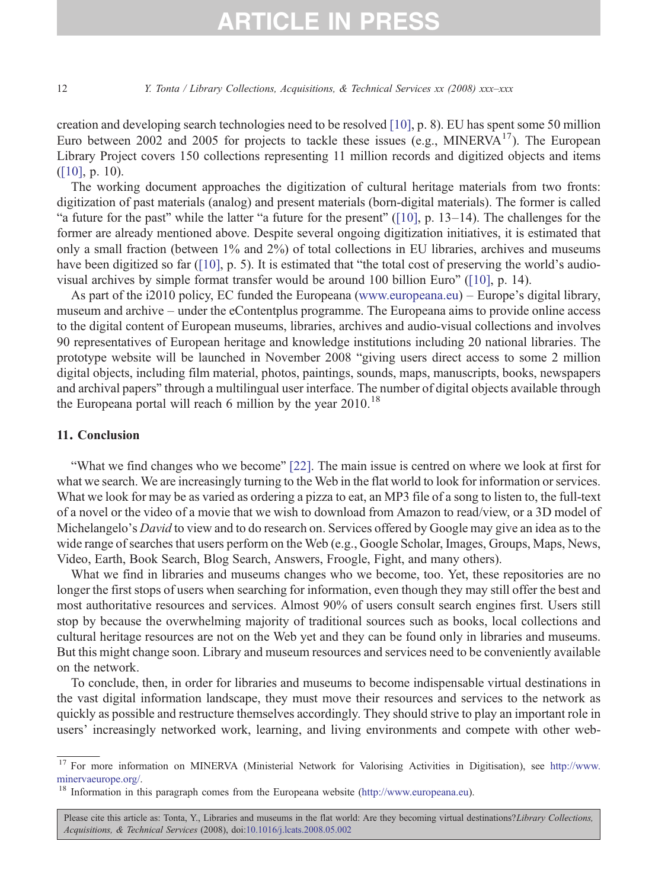12 Y. Tonta / Library Collections, Acquisitions, & Technical Services xx (2008) xxx–xxx

creation and developing search technologies need to be resolved [\[10\],](#page-12-0) p. 8). EU has spent some 50 million Euro between 2002 and 2005 for projects to tackle these issues (e.g., MINERVA<sup>17</sup>). The European Library Project covers 150 collections representing 11 million records and digitized objects and items ([\[10\],](#page-12-0) p. 10).

The working document approaches the digitization of cultural heritage materials from two fronts: digitization of past materials (analog) and present materials (born-digital materials). The former is called "a future for the past" while the latter "a future for the present" ( $[10]$ , p. 13–14). The challenges for the former are already mentioned above. Despite several ongoing digitization initiatives, it is estimated that only a small fraction (between 1% and 2%) of total collections in EU libraries, archives and museums have been digitized so far ([\[10\],](#page-12-0) p. 5). It is estimated that "the total cost of preserving the world's audiovisual archives by simple format transfer would be around 100 billion Euro" ([\[10\],](#page-12-0) p. 14).

As part of the i2010 policy, EC funded the Europeana ([www.europeana.eu](http://www.europeana.eu)) – Europe's digital library, museum and archive – under the eContentplus programme. The Europeana aims to provide online access to the digital content of European museums, libraries, archives and audio-visual collections and involves 90 representatives of European heritage and knowledge institutions including 20 national libraries. The prototype website will be launched in November 2008 "giving users direct access to some 2 million digital objects, including film material, photos, paintings, sounds, maps, manuscripts, books, newspapers and archival papers" through a multilingual user interface. The number of digital objects available through the Europeana portal will reach 6 million by the year  $2010$ .<sup>18</sup>

### 11. Conclusion

"What we find changes who we become" [\[22\].](#page-13-0) The main issue is centred on where we look at first for what we search. We are increasingly turning to the Web in the flat world to look for information or services. What we look for may be as varied as ordering a pizza to eat, an MP3 file of a song to listen to, the full-text of a novel or the video of a movie that we wish to download from Amazon to read/view, or a 3D model of Michelangelo's *David* to view and to do research on. Services offered by Google may give an idea as to the wide range of searches that users perform on the Web (e.g., Google Scholar, Images, Groups, Maps, News, Video, Earth, Book Search, Blog Search, Answers, Froogle, Fight, and many others).

What we find in libraries and museums changes who we become, too. Yet, these repositories are no longer the first stops of users when searching for information, even though they may still offer the best and most authoritative resources and services. Almost 90% of users consult search engines first. Users still stop by because the overwhelming majority of traditional sources such as books, local collections and cultural heritage resources are not on the Web yet and they can be found only in libraries and museums. But this might change soon. Library and museum resources and services need to be conveniently available on the network.

To conclude, then, in order for libraries and museums to become indispensable virtual destinations in the vast digital information landscape, they must move their resources and services to the network as quickly as possible and restructure themselves accordingly. They should strive to play an important role in users' increasingly networked work, learning, and living environments and compete with other web-

<sup>&</sup>lt;sup>17</sup> For more information on MINERVA (Ministerial Network for Valorising Activities in Digitisation), see [http://www.](http://www.minervaeurope.org/) [minervaeurope.org/](http://www.minervaeurope.org/).<br><sup>18</sup> Information in this paragraph comes from the Europeana website [\(http://www.europeana.eu](http://www.europeana.eu)).

Please cite this article as: Tonta, Y., Libraries and museums in the flat world: Are they becoming virtual destinations?*Library Collections*, Acquisitions, & Technical Services (2008), doi:[10.1016/j.lcats.2008.05.002](http://dx.doi.org/10.1016/j.lcats.2008.05.002)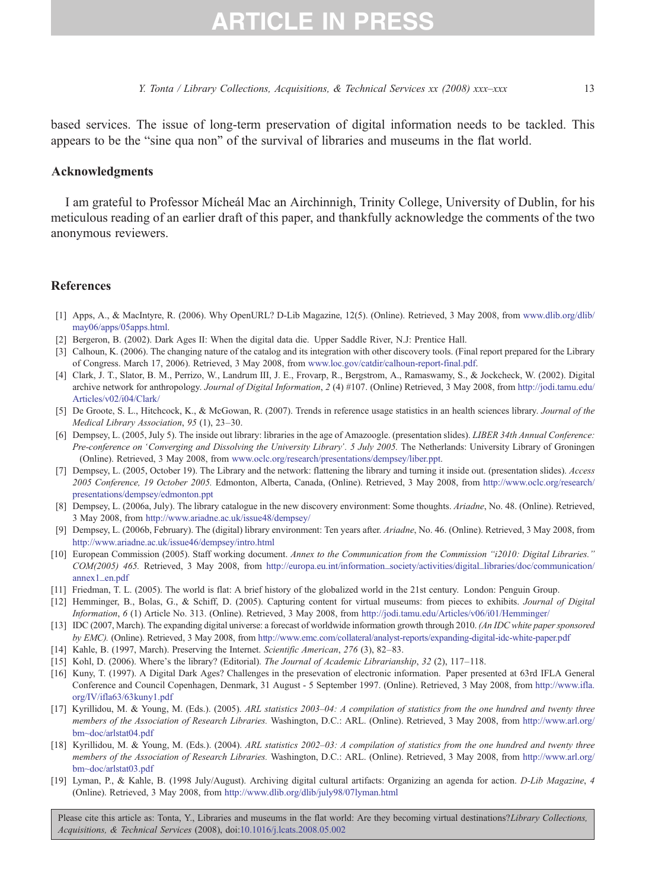Y. Tonta / Library Collections, Acquisitions, & Technical Services xx (2008) xxx–xxx 13

<span id="page-12-0"></span>based services. The issue of long-term preservation of digital information needs to be tackled. This appears to be the "sine qua non" of the survival of libraries and museums in the flat world.

#### Acknowledgments

I am grateful to Professor Mícheál Mac an Airchinnigh, Trinity College, University of Dublin, for his meticulous reading of an earlier draft of this paper, and thankfully acknowledge the comments of the two anonymous reviewers.

#### References

- [1] Apps, A., & MacIntyre, R. (2006). Why OpenURL? D-Lib Magazine, 12(5). (Online). Retrieved, 3 May 2008, from [www.dlib.org/dlib/](http://www.dlib.org/dlib/may06/apps/05apps.html) [may06/apps/05apps.html.](http://www.dlib.org/dlib/may06/apps/05apps.html)
- [2] Bergeron, B. (2002). Dark Ages II: When the digital data die. Upper Saddle River, N.J: Prentice Hall.
- [3] Calhoun, K. (2006). The changing nature of the catalog and its integration with other discovery tools. (Final report prepared for the Library of Congress. March 17, 2006). Retrieved, 3 May 2008, from [www.loc.gov/catdir/calhoun-report-final.pdf](http://www.loc.gov/catdir/calhoun-report-final.pdf).
- [4] Clark, J. T., Slator, B. M., Perrizo, W., Landrum III, J. E., Frovarp, R., Bergstrom, A., Ramaswamy, S., & Jockcheck, W. (2002). Digital archive network for anthropology. Journal of Digital Information, 2 (4) #107. (Online) Retrieved, 3 May 2008, from [http://jodi.tamu.edu/](http://jodi.tamu.edu/Articles/v02/i04/Clark/) [Articles/v02/i04/Clark/](http://jodi.tamu.edu/Articles/v02/i04/Clark/)
- [5] De Groote, S. L., Hitchcock, K., & McGowan, R. (2007). Trends in reference usage statistics in an health sciences library. Journal of the Medical Library Association, 95 (1), 23–30.
- [6] Dempsey, L. (2005, July 5). The inside out library: libraries in the age of Amazoogle. (presentation slides). LIBER 34th Annual Conference: Pre-conference on 'Converging and Dissolving the University Library'. 5 July 2005. The Netherlands: University Library of Groningen (Online). Retrieved, 3 May 2008, from [www.oclc.org/research/presentations/dempsey/liber.ppt.](http://www.oclc.org/research/presentations/dempsey/liber.ppt)
- [7] Dempsey, L. (2005, October 19). The Library and the network: flattening the library and turning it inside out. (presentation slides). Access 2005 Conference, 19 October 2005. Edmonton, Alberta, Canada, (Online). Retrieved, 3 May 2008, from [http://www.oclc.org/research/](http://www.oclc.org/research/presentations/dempsey/edmonton.ppt) [presentations/dempsey/edmonton.ppt](http://www.oclc.org/research/presentations/dempsey/edmonton.ppt)
- [8] Dempsey, L. (2006a, July). The library catalogue in the new discovery environment: Some thoughts. Ariadne, No. 48. (Online). Retrieved, 3 May 2008, from <http://www.ariadne.ac.uk/issue48/dempsey/>
- [9] Dempsey, L. (2006b, February). The (digital) library environment: Ten years after. Ariadne, No. 46. (Online). Retrieved, 3 May 2008, from <http://www.ariadne.ac.uk/issue46/dempsey/intro.html>
- [10] European Commission (2005). Staff working document. Annex to the Communication from the Commission "i2010: Digital Libraries." COM(2005) 465. Retrieved, 3 May 2008, from [http://europa.eu.int/information\\_society/activities/digital\\_libraries/doc/communication/](http://europa.eu.int/information_society/activities/digital_libraries/doc/communication/annex1_en.pdf) [annex1\\_en.pdf](http://europa.eu.int/information_society/activities/digital_libraries/doc/communication/annex1_en.pdf)
- [11] Friedman, T. L. (2005). The world is flat: A brief history of the globalized world in the 21st century. London: Penguin Group.
- [12] Hemminger, B., Bolas, G., & Schiff, D. (2005). Capturing content for virtual museums: from pieces to exhibits. Journal of Digital Information, 6 (1) Article No. 313. (Online). Retrieved, 3 May 2008, from <http://jodi.tamu.edu/Articles/v06/i01/Hemminger/>
- [13] IDC (2007, March). The expanding digital universe: a forecast of worldwide information growth through 2010. *(An IDC white paper sponsored*) by EMC). (Online). Retrieved, 3 May 2008, from <http://www.emc.com/collateral/analyst-reports/expanding-digital-idc-white-paper.pdf>
- [14] Kahle, B. (1997, March). Preserving the Internet. Scientific American, 276 (3), 82-83.
- [15] Kohl, D. (2006). Where's the library? (Editorial). The Journal of Academic Librarianship, 32 (2), 117–118.
- [16] Kuny, T. (1997). A Digital Dark Ages? Challenges in the presevation of electronic information. Paper presented at 63rd IFLA General Conference and Council Copenhagen, Denmark, 31 August - 5 September 1997. (Online). Retrieved, 3 May 2008, from [http://www.ifla.](http://www.ifla.org/IV/ifla63/63kuny1.pdf) [org/IV/ifla63/63kuny1.pdf](http://www.ifla.org/IV/ifla63/63kuny1.pdf)
- [17] Kyrillidou, M. & Young, M. (Eds.). (2005). ARL statistics 2003-04: A compilation of statistics from the one hundred and twenty three members of the Association of Research Libraries. Washington, D.C.: ARL. (Online). Retrieved, 3 May 2008, from [http://www.arl.org/](http://www.arl.org/bm~doc/arlstat04.pdf) [bm~doc/arlstat04.pdf](http://www.arl.org/bm~doc/arlstat04.pdf)
- [18] Kyrillidou, M. & Young, M. (Eds.). (2004). ARL statistics 2002-03: A compilation of statistics from the one hundred and twenty three members of the Association of Research Libraries. Washington, D.C.: ARL. (Online). Retrieved, 3 May 2008, from [http://www.arl.org/](http://www.arl.org/bm~doc/arlstat03.pdf) [bm~doc/arlstat03.pdf](http://www.arl.org/bm~doc/arlstat03.pdf)
- [19] Lyman, P., & Kahle, B. (1998 July/August). Archiving digital cultural artifacts: Organizing an agenda for action. *D-Lib Magazine*, 4 (Online). Retrieved, 3 May 2008, from <http://www.dlib.org/dlib/july98/07lyman.html>